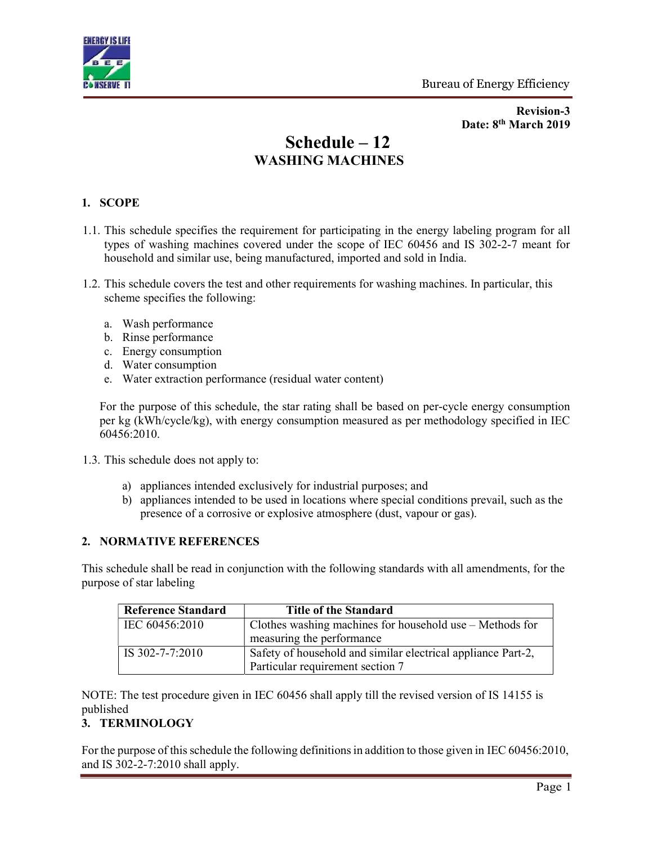

Revision-3 Date: 8<sup>th</sup> March 2019

# Schedule – 12 WASHING MACHINES

### 1. SCOPE

- 1.1. This schedule specifies the requirement for participating in the energy labeling program for all types of washing machines covered under the scope of IEC 60456 and IS 302-2-7 meant for household and similar use, being manufactured, imported and sold in India.
- 1.2. This schedule covers the test and other requirements for washing machines. In particular, this scheme specifies the following:
	- a. Wash performance
	- b. Rinse performance
	- c. Energy consumption
	- d. Water consumption
	- e. Water extraction performance (residual water content)

For the purpose of this schedule, the star rating shall be based on per-cycle energy consumption per kg (kWh/cycle/kg), with energy consumption measured as per methodology specified in IEC 60456:2010.

- 1.3. This schedule does not apply to:
	- a) appliances intended exclusively for industrial purposes; and
	- b) appliances intended to be used in locations where special conditions prevail, such as the presence of a corrosive or explosive atmosphere (dust, vapour or gas).

#### 2. NORMATIVE REFERENCES

This schedule shall be read in conjunction with the following standards with all amendments, for the purpose of star labeling

| <b>Reference Standard</b> | <b>Title of the Standard</b>                                                                     |
|---------------------------|--------------------------------------------------------------------------------------------------|
| IEC 60456:2010            | Clothes washing machines for household use – Methods for                                         |
|                           | measuring the performance                                                                        |
| IS 302-7-7:2010           | Safety of household and similar electrical appliance Part-2,<br>Particular requirement section 7 |

NOTE: The test procedure given in IEC 60456 shall apply till the revised version of IS 14155 is published

### 3. TERMINOLOGY

For the purpose of this schedule the following definitions in addition to those given in IEC 60456:2010, and IS 302-2-7:2010 shall apply.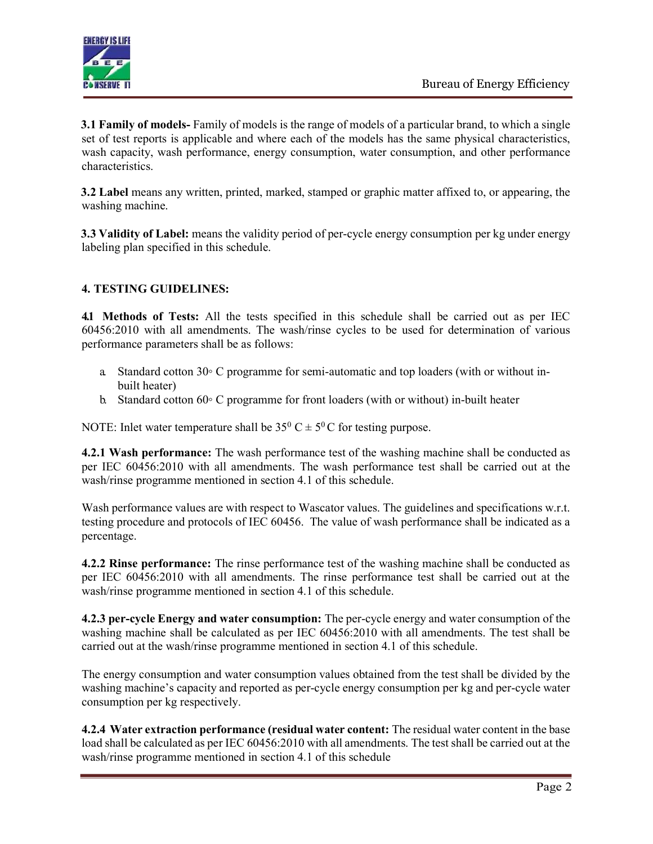

3.1 Family of models- Family of models is the range of models of a particular brand, to which a single set of test reports is applicable and where each of the models has the same physical characteristics, wash capacity, wash performance, energy consumption, water consumption, and other performance characteristics.

3.2 Label means any written, printed, marked, stamped or graphic matter affixed to, or appearing, the washing machine.

3.3 Validity of Label: means the validity period of per-cycle energy consumption per kg under energy labeling plan specified in this schedule.

# 4. TESTING GUIDELINES:

4.1 Methods of Tests: All the tests specified in this schedule shall be carried out as per IEC 60456:2010 with all amendments. The wash/rinse cycles to be used for determination of various performance parameters shall be as follows:

- a. Standard cotton 30◦ C programme for semi-automatic and top loaders (with or without inbuilt heater)
- b. Standard cotton 60◦ C programme for front loaders (with or without) in-built heater

NOTE: Inlet water temperature shall be  $35^0 C \pm 5^0 C$  for testing purpose.

4.2.1 Wash performance: The wash performance test of the washing machine shall be conducted as per IEC 60456:2010 with all amendments. The wash performance test shall be carried out at the wash/rinse programme mentioned in section 4.1 of this schedule.

Wash performance values are with respect to Wascator values. The guidelines and specifications w.r.t. testing procedure and protocols of IEC 60456. The value of wash performance shall be indicated as a percentage.

4.2.2 Rinse performance: The rinse performance test of the washing machine shall be conducted as per IEC 60456:2010 with all amendments. The rinse performance test shall be carried out at the wash/rinse programme mentioned in section 4.1 of this schedule.

4.2.3 per-cycle Energy and water consumption: The per-cycle energy and water consumption of the washing machine shall be calculated as per IEC 60456:2010 with all amendments. The test shall be carried out at the wash/rinse programme mentioned in section 4.1 of this schedule.

The energy consumption and water consumption values obtained from the test shall be divided by the washing machine's capacity and reported as per-cycle energy consumption per kg and per-cycle water consumption per kg respectively.

4.2.4 Water extraction performance (residual water content: The residual water content in the base load shall be calculated as per IEC 60456:2010 with all amendments. The test shall be carried out at the wash/rinse programme mentioned in section 4.1 of this schedule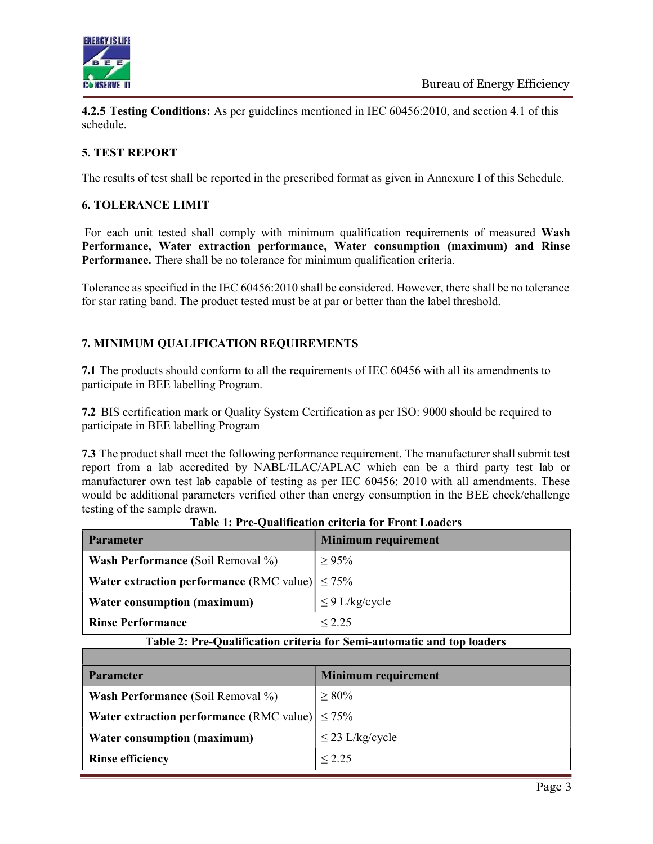

4.2.5 Testing Conditions: As per guidelines mentioned in IEC 60456:2010, and section 4.1 of this schedule.

# 5. TEST REPORT

The results of test shall be reported in the prescribed format as given in Annexure I of this Schedule.

### 6. TOLERANCE LIMIT

For each unit tested shall comply with minimum qualification requirements of measured Wash Performance, Water extraction performance, Water consumption (maximum) and Rinse Performance. There shall be no tolerance for minimum qualification criteria.

Tolerance as specified in the IEC 60456:2010 shall be considered. However, there shall be no tolerance for star rating band. The product tested must be at par or better than the label threshold.

# 7. MINIMUM QUALIFICATION REQUIREMENTS

7.1 The products should conform to all the requirements of IEC 60456 with all its amendments to participate in BEE labelling Program.

7.2 BIS certification mark or Quality System Certification as per ISO: 9000 should be required to participate in BEE labelling Program

7.3 The product shall meet the following performance requirement. The manufacturer shall submit test report from a lab accredited by NABL/ILAC/APLAC which can be a third party test lab or manufacturer own test lab capable of testing as per IEC 60456: 2010 with all amendments. These would be additional parameters verified other than energy consumption in the BEE check/challenge testing of the sample drawn.

| <b>Parameter</b>                                            | <b>Minimum requirement</b> |  |
|-------------------------------------------------------------|----------------------------|--|
| <b>Wash Performance</b> (Soil Removal %)                    | $\geq 95\%$                |  |
| <b>Water extraction performance</b> (RMC value) $\leq 75\%$ |                            |  |
| Water consumption (maximum)                                 | $\leq$ 9 L/kg/cycle        |  |
| <b>Rinse Performance</b>                                    | < 2.25                     |  |

Table 1: Pre-Qualification criteria for Front Loaders

#### Table 2: Pre-Qualification criteria for Semi-automatic and top loaders

| <b>Parameter</b>                                            | <b>Minimum requirement</b> |  |  |
|-------------------------------------------------------------|----------------------------|--|--|
| <b>Wash Performance</b> (Soil Removal %)                    | $\geq 80\%$                |  |  |
| <b>Water extraction performance</b> (RMC value) $\leq 75\%$ |                            |  |  |
| Water consumption (maximum)                                 | $\leq$ 23 L/kg/cycle       |  |  |
| <b>Rinse efficiency</b>                                     | $\leq 2.25$                |  |  |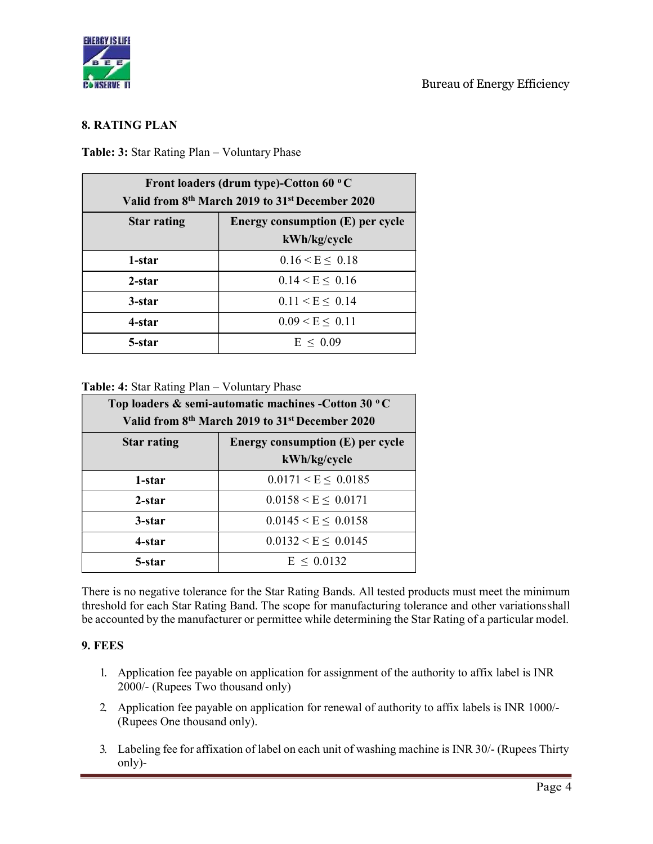

### 8. RATING PLAN

#### Table: 3: Star Rating Plan – Voluntary Phase

| Front loaders (drum type)-Cotton 60 °C<br>Valid from 8 <sup>th</sup> March 2019 to 31 <sup>st</sup> December 2020 |                       |  |  |
|-------------------------------------------------------------------------------------------------------------------|-----------------------|--|--|
| Energy consumption (E) per cycle<br><b>Star rating</b><br>kWh/kg/cycle                                            |                       |  |  |
| 1-star                                                                                                            | $0.16 \le E \le 0.18$ |  |  |
| 2-star                                                                                                            | $0.14 < E \leq 0.16$  |  |  |
| 3-star                                                                                                            | $0.11 < E \leq 0.14$  |  |  |
| 4-star                                                                                                            | $0.09 \le E \le 0.11$ |  |  |
| 5-star                                                                                                            | $E \leq 0.09$         |  |  |

#### Table: 4: Star Rating Plan – Voluntary Phase

| Top loaders & semi-automatic machines -Cotton 30 °C<br>Valid from 8 <sup>th</sup> March 2019 to 31 <sup>st</sup> December 2020 |                                                  |  |  |
|--------------------------------------------------------------------------------------------------------------------------------|--------------------------------------------------|--|--|
| <b>Star rating</b>                                                                                                             | Energy consumption (E) per cycle<br>kWh/kg/cycle |  |  |
| 1-star                                                                                                                         | $0.0171 \le E \le 0.0185$                        |  |  |
| 2-star                                                                                                                         | $0.0158 \le E \le 0.0171$                        |  |  |
| 3-star                                                                                                                         | $0.0145 \le E \le 0.0158$                        |  |  |
| 4-star                                                                                                                         | $0.0132 \le E \le 0.0145$                        |  |  |
| 5-star                                                                                                                         | $E \le 0.0132$                                   |  |  |

There is no negative tolerance for the Star Rating Bands. All tested products must meet the minimum threshold for each Star Rating Band. The scope for manufacturing tolerance and other variations shall be accounted by the manufacturer or permittee while determining the Star Rating of a particular model.

### 9. FEES

- 1. Application fee payable on application for assignment of the authority to affix label is INR 2000/- (Rupees Two thousand only)
- 2. Application fee payable on application for renewal of authority to affix labels is INR 1000/- (Rupees One thousand only).
- 3. Labeling fee for affixation of label on each unit of washing machine is INR 30/- (Rupees Thirty only)-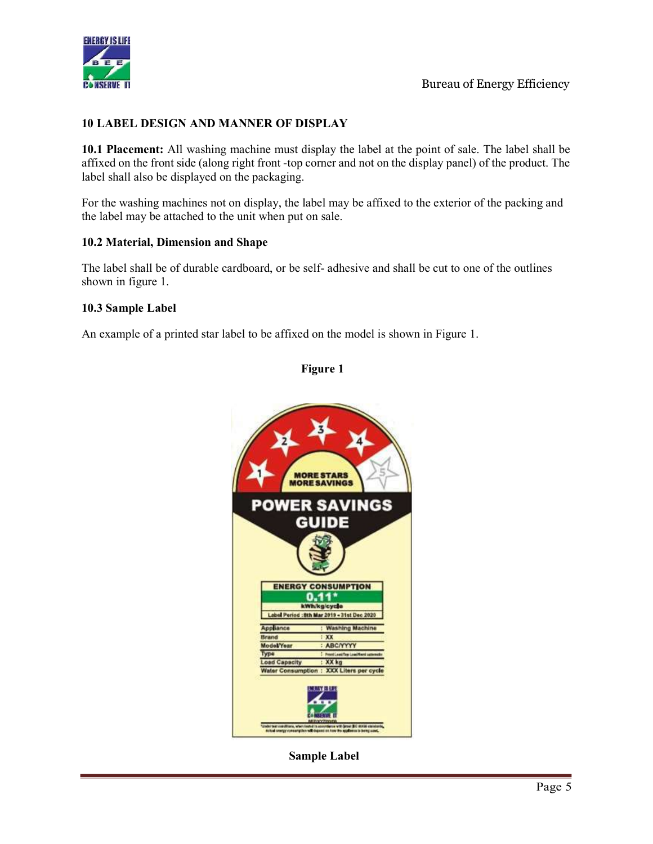

### 10 LABEL DESIGN AND MANNER OF DISPLAY

10.1 Placement: All washing machine must display the label at the point of sale. The label shall be affixed on the front side (along right front -top corner and not on the display panel) of the product. The label shall also be displayed on the packaging.

For the washing machines not on display, the label may be affixed to the exterior of the packing and the label may be attached to the unit when put on sale.

#### 10.2 Material, Dimension and Shape

The label shall be of durable cardboard, or be self- adhesive and shall be cut to one of the outlines shown in figure 1.

#### 10.3 Sample Label

An example of a printed star label to be affixed on the model is shown in Figure 1.

### Figure 1



Sample Label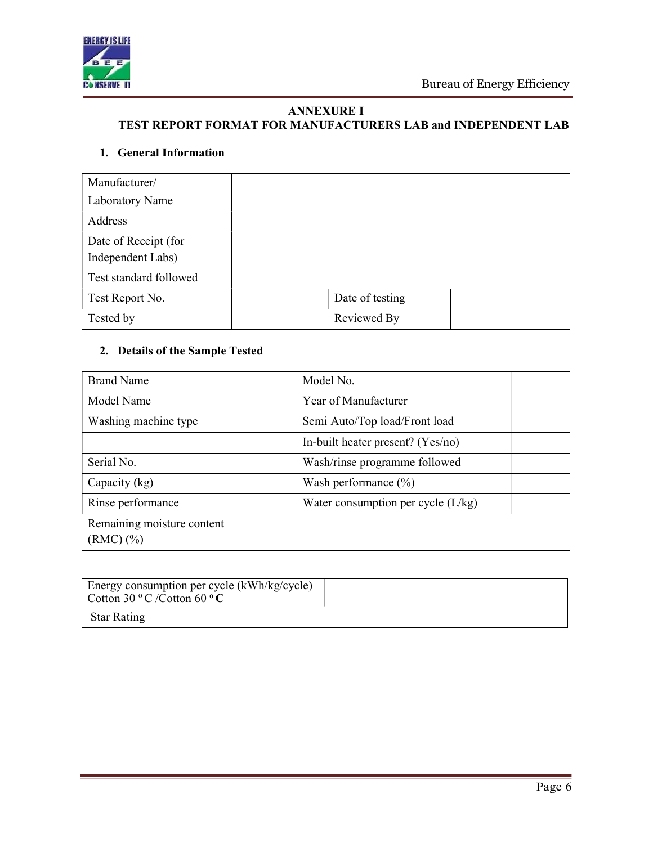

# ANNEXURE I

# TEST REPORT FORMAT FOR MANUFACTURERS LAB and INDEPENDENT LAB

# 1. General Information

| Manufacturer/          |                 |
|------------------------|-----------------|
| Laboratory Name        |                 |
| Address                |                 |
| Date of Receipt (for   |                 |
| Independent Labs)      |                 |
| Test standard followed |                 |
| Test Report No.        | Date of testing |
| Tested by              | Reviewed By     |

## 2. Details of the Sample Tested

| <b>Brand Name</b>                            | Model No.                            |  |
|----------------------------------------------|--------------------------------------|--|
| Model Name                                   | Year of Manufacturer                 |  |
| Washing machine type                         | Semi Auto/Top load/Front load        |  |
|                                              | In-built heater present? (Yes/no)    |  |
| Serial No.                                   | Wash/rinse programme followed        |  |
| Capacity (kg)                                | Wash performance $(\% )$             |  |
| Rinse performance                            | Water consumption per cycle $(L/kg)$ |  |
| Remaining moisture content<br>$(RMC)$ $(\%)$ |                                      |  |

| Energy consumption per cycle (kWh/kg/cycle)<br>Cotton 30 °C /Cotton 60 °C |  |
|---------------------------------------------------------------------------|--|
| <b>Star Rating</b>                                                        |  |